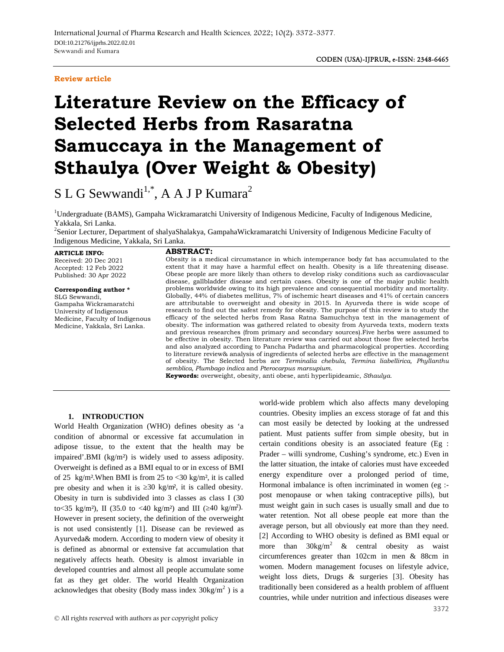## **Review article**

# **Literature Review on the Efficacy of Selected Herbs from Rasaratna Samuccaya in the Management of Sthaulya (Over Weight & Obesity)**

S L G Sewwandi<sup>1,\*</sup>, A A J P Kumara<sup>2</sup>

<sup>1</sup>Undergraduate (BAMS), Gampaha Wickramaratchi University of Indigenous Medicine, Faculty of Indigenous Medicine, Yakkala, Sri Lanka.<br><sup>2</sup>Senior Lecturer, Department of shalyaShalakya, GampahaWickramaratchi University of Indigenous Medicine Faculty of

Indigenous Medicine, Yakkala, Sri Lanka.

#### **ARTICLE INFO:**

Received: 20 Dec 2021 Accepted: 12 Feb 2022 Published: 30 Apr 2022

**Corresponding author \***

SLG Sewwandi, Gampaha Wickramaratchi University of Indigenous Medicine, Faculty of Indigenous Medicine, Yakkala, Sri Lanka.

## **ABSTRACT:**

Obesity is a medical circumstance in which intemperance body fat has accumulated to the extent that it may have a harmful effect on health. Obesity is a life threatening disease. Obese people are more likely than others to develop risky conditions such as cardiovascular disease, gallbladder disease and certain cases. Obesity is one of the major public health problems worldwide owing to its high prevalence and consequential morbidity and mortality. Globally, 44% of diabetes mellitus, 7% of ischemic heart diseases and 41% of certain cancers are attributable to overweight and obesity in 2015. In Ayurveda there is wide scope of research to find out the safest remedy for obesity. The purpose of this review is to study the efficacy of the selected herbs from Rasa Ratna Samuchchya text in the management of obesity. The information was gathered related to obesity from Ayurveda texts, modern texts and previous researches (from primary and secondary sources).Five herbs were assumed to be effective in obesity. Then literature review was carried out about those five selected herbs and also analyzed according to Pancha Padartha and pharmacological properties. According to literature review& analysis of ingredients of selected herbs are effective in the management of obesity. The Selected herbs are *Terminalia chebula, Termina liabellirica, Phyllanthu semblica, Plumbago indica* and *Pterocarpus marsupium*.

**Keywords:** overweight, obesity, anti obese, anti hyperlipideamic, *Sthaulya.*

## **1. INTRODUCTION**

World Health Organization (WHO) defines obesity as 'a condition of abnormal or excessive fat accumulation in adipose tissue, to the extent that the health may be impaired'.BMI (kg/m²) is widely used to assess adiposity. Overweight is defined as a BMI equal to or in excess of BMI of 25 kg/m<sup>2</sup>. When BMI is from 25 to  $\langle 30 \text{ kg/m}^2 \rangle$ , it is called pre obesity and when it is  $30 \text{ kg/m}^2$ , it is called obesity. Obesity in turn is subdivided into 3 classes as class I (30 to < 35 kg/m<sup>2</sup>), II (35.0 to < 40 kg/m<sup>2</sup>) and III ( $\frac{40 \text{ kg/m}^2}{2}$ . However in present society, the definition of the overweight is not used consistently [1]. Disease can be reviewed as Ayurveda& modern. According to modern view of obesity it is defined as abnormal or extensive fat accumulation that negatively affects heath. Obesity is almost invariable in developed countries and almost all people accumulate some fat as they get older. The world Health Organization acknowledges that obesity (Body mass index  $30\text{kg/m}^2$ ) is a

world-wide problem which also affects many developing countries. Obesity implies an excess storage of fat and this can most easily be detected by looking at the undressed patient. Must patients suffer from simple obesity, but in certain conditions obesity is an associated feature (Eg : Prader – willi syndrome, Cushing's syndrome, etc.) Even in the latter situation, the intake of calories must have exceeded energy expenditure over a prolonged period of time, Hormonal imbalance is often incriminated in women (eg : post menopause or when taking contraceptive pills), but must weight gain in such cases is usually small and due to water retention. Not all obese people eat more than the average person, but all obviously eat more than they need. [2] According to WHO obesity is defined as BMI equal or more than  $30\text{kg/m}^2$  & central obesity as waist circumferences greater than 102cm in men & 88cm in women. Modern management focuses on lifestyle advice, weight loss diets, Drugs & surgeries [3]. Obesity has traditionally been considered as a health problem of affluent countries, while under nutrition and infectious diseases were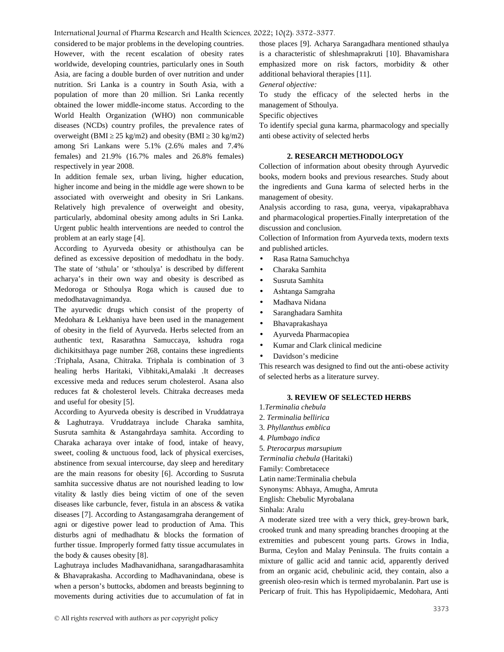International Journal of Pharma Research and Health Sciences, 2022; 10(2): 3372-3377.

considered to be major problems in the developing countries. However, with the recent escalation of obesity rates worldwide, developing countries, particularly ones in South Asia, are facing a double burden of over nutrition and under nutrition. Sri Lanka is a country in South Asia, with a population of more than 20 million. Sri Lanka recently obtained the lower middle-income status. According to the World Health Organization (WHO) non communicable diseases (NCDs) country profiles, the prevalence rates of overweight (BMI 25 kg/m2) and obesity (BMI 30 kg/m2) among Sri Lankans were 5.1% (2.6% males and 7.4% females) and 21.9% (16.7% males and 26.8% females) respectively in year 2008.

In addition female sex, urban living, higher education, higher income and being in the middle age were shown to be associated with overweight and obesity in Sri Lankans. Relatively high prevalence of overweight and obesity, particularly, abdominal obesity among adults in Sri Lanka. Urgent public health interventions are needed to control the problem at an early stage [4].

According to Ayurveda obesity or athisthoulya can be defined as excessive deposition of medodhatu in the body. The state of 'sthula' or 'sthoulya' is described by different acharya's in their own way and obesity is described as Medoroga or Sthoulya Roga which is caused due to medodhatavagnimandya.

The ayurvedic drugs which consist of the property of Medohara & Lekhaniya have been used in the management of obesity in the field of Ayurveda. Herbs selected from an authentic text, Rasarathna Samuccaya, kshudra roga dichikitsithaya page number 268, contains these ingredients :Triphala, Asana, Chitraka. Triphala is combination of 3 healing herbs Haritaki, Vibhitaki,Amalaki .It decreases excessive meda and reduces serum cholesterol. Asana also reduces fat & cholesterol levels. Chitraka decreases meda and useful for obesity [5].

According to Ayurveda obesity is described in Vruddatraya & Laghutraya. Vruddatraya include Charaka samhita, Susruta samhita & Astangahrdaya samhita. According to Charaka acharaya over intake of food, intake of heavy, sweet, cooling & unctuous food, lack of physical exercises, abstinence from sexual intercourse, day sleep and hereditary are the main reasons for obesity [6]. According to Susruta samhita successive dhatus are not nourished leading to low vitality & lastly dies being victim of one of the seven diseases like carbuncle, fever, fistula in an abscess & vatika diseases [7]. According to Astangasamgraha derangement of agni or digestive power lead to production of Ama. This disturbs agni of medhadhatu & blocks the formation of further tissue. Improperly formed fatty tissue accumulates in the body & causes obesity [8].

Laghutraya includes Madhavanidhana, sarangadharasamhita & Bhavaprakasha. According to Madhavanindana, obese is when a person's buttocks, abdomen and breasts beginning to movements during activities due to accumulation of fat in

those places [9]. Acharya Sarangadhara mentioned sthaulya is a characteristic of shleshmaprakruti [10]. Bhavamishara emphasized more on risk factors, morbidity & other additional behavioral therapies [11].

*General objective:*

To study the efficacy of the selected herbs in the management of Sthoulya.

Specific objectives

To identify special guna karma, pharmacology and specially anti obese activity of selected herbs

## **2. RESEARCH METHODOLOGY**

Collection of information about obesity through Ayurvedic books, modern books and previous researches. Study about the ingredients and Guna karma of selected herbs in the management of obesity.

Analysis according to rasa, guna, veerya, vipakaprabhava and pharmacological properties.Finally interpretation of the discussion and conclusion.

Collection of Information from Ayurveda texts, modern texts and published articles.

- Rasa Ratna Samuchchya
- Charaka Samhita
- Susruta Samhita
- Ashtanga Samgraha
- Madhava Nidana
- Saranghadara Samhita
- Bhavaprakashaya
- Ayurveda Pharmacopiea
- Kumar and Clark clinical medicine
- Davidson's medicine

This research was designed to find out the anti-obese activity of selected herbs as a literature survey.

# **3. REVIEW OF SELECTED HERBS**

- 1.*Terminalia chebula*
- 2. *Terminalia bellirica*
- 3. *Phyllanthus emblica*
- 4. *Plumbago indica*

5. *Pterocarpus marsupium*

*Terminalia chebula* (Haritaki)

Family: Combretacece

Latin name:Terminalia chebula

Synonyms: Abhaya, Amugha, Amruta

English: Chebulic Myrobalana

Sinhala: Aralu

A moderate sized tree with a very thick, grey-brown bark, crooked trunk and many spreading branches drooping at the extremities and pubescent young parts. Grows in India, Burma, Ceylon and Malay Peninsula. The fruits contain a mixture of gallic acid and tannic acid, apparently derived from an organic acid, chebulinic acid, they contain, also a greenish oleo-resin which is termed myrobalanin. Part use is Pericarp of fruit. This has Hypolipidaemic, Medohara, Anti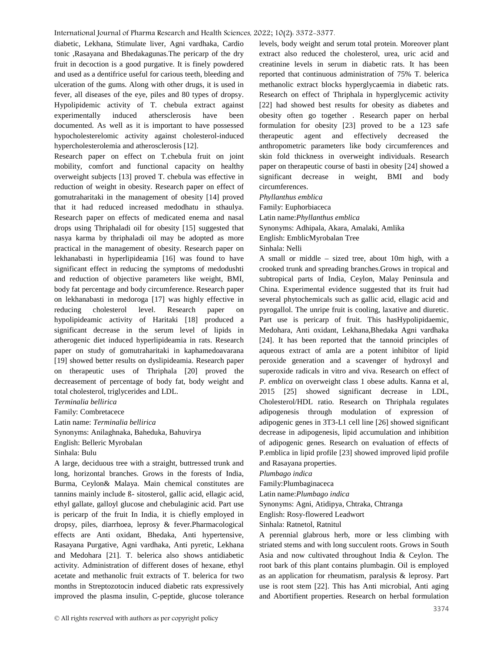diabetic, Lekhana, Stimulate liver, Agni vardhaka, Cardio tonic ,Rasayana and Bhedakagunas.The pericarp of the dry fruit in decoction is a good purgative. It is finely powdered and used as a dentifrice useful for carious teeth, bleeding and ulceration of the gums. Along with other drugs, it is used in fever, all diseases of the eye, piles and 80 types of dropsy. Hypolipidemic activity of T. chebula extract against experimentally induced athersclerosis have been documented. As well as it is important to have possessed hypocholesterelomic activity against cholesterol-induced hypercholesterolemia and atherosclerosis [12].

Research paper on effect on T.chebula fruit on joint mobility, comfort and functional capacity on healthy overweight subjects [13] proved T. chebula was effective in reduction of weight in obesity. Research paper on effect of gomutraharitaki in the management of obesity [14] proved that it had reduced increased medodhatu in sthaulya. Research paper on effects of medicated enema and nasal drops using Thriphaladi oil for obesity [15] suggested that nasya karma by thriphaladi oil may be adopted as more practical in the management of obesity. Research paper on lekhanabasti in hyperlipideamia [16] was found to have significant effect in reducing the symptoms of medodushti and reduction of objective parameters like weight, BMI, body fat percentage and body circumference. Research paper on lekhanabasti in medoroga [17] was highly effective in reducing cholesterol level. Research paper on hypolipideamic activity of Haritaki [18] produced a significant decrease in the serum level of lipids in atherogenic diet induced hyperlipideamia in rats. Research paper on study of gomutraharitaki in kaphamedoavarana [19] showed better results on dyslipideamia. Research paper on therapeutic uses of Thriphala [20] proved the decreasement of percentage of body fat, body weight and total cholesterol, triglycerides and LDL.

*Terminalia bellirica*

Family: Combretacece

Latin name: *Terminalia bellirica* Synonyms: Anilaghnaka, Baheduka, Bahuvirya English: Belleric Myrobalan

Sinhala: Bulu

A large, deciduous tree with a straight, buttressed trunk and long, horizontal branches. Grows in the forests of India, Burma, Ceylon& Malaya. Main chemical constitutes are tannins mainly include ß- sitosterol, gallic acid, ellagic acid, ethyl gallate, galloyl glucose and chebulaginic acid. Part use is pericarp of the fruit In India, it is chiefly employed in dropsy, piles, diarrhoea, leprosy & fever.Pharmacological effects are Anti oxidant, Bhedaka, Anti hypertensive, Rasayana Purgative, Agni vardhaka, Anti pyretic, Lekhana and Medohara [21]. T. belerica also shows antidiabetic activity. Administration of different doses of hexane, ethyl acetate and methanolic fruit extracts of T. belerica for two months in Streptozotocin induced diabetic rats expressively improved the plasma insulin, C-peptide, glucose tolerance

levels, body weight and serum total protein. Moreover plant extract also reduced the cholesterol, urea, uric acid and creatinine levels in serum in diabetic rats. It has been reported that continuous administration of 75% T. belerica methanolic extract blocks hyperglycaemia in diabetic rats. Research on effect of Thriphala in hyperglycemic activity [22] had showed best results for obesity as diabetes and obesity often go together . Research paper on herbal formulation for obesity [23] proved to be a 123 safe agent and effectively decreased the anthropometric parameters like body circumferences and skin fold thickness in overweight individuals. Research paper on therapeutic course of basti in obesity [24] showed a significant decrease in weight, BMI and body circumferences.

*Phyllanthus emblica*

Family: Euphorbiaceca

Latin name:*Phyllanthus emblica*

Synonyms: Adhipala, Akara, Amalaki, Amlika

English: EmblicMyrobalan Tree

Sinhala: Nelli

A small or middle – sized tree, about 10m high, with a crooked trunk and spreading branches.Grows in tropical and subtropical parts of India, Ceylon, Malay Peninsula and China. Experimental evidence suggested that its fruit had several phytochemicals such as gallic acid, ellagic acid and pyrogallol. The unripe fruit is cooling, laxative and diuretic. Part use is pericarp of fruit. This hasHypolipidaemic, Medohara, Anti oxidant, Lekhana,Bhedaka Agni vardhaka [24]. It has been reported that the tannoid principles of aqueous extract of amla are a potent inhibitor of lipid peroxide generation and a scavenger of hydroxyl and superoxide radicals in vitro and viva. Research on effect of *P. emblica* on overweight class 1 obese adults. Kanna et al, 2015 [25] showed significant decrease in LDL, Cholesterol/HDL ratio. Research on Thriphala regulates adipogenesis through modulation of expression of adipogenic genes in 3T3-L1 cell line [26] showed significant decrease in adipogenesis, lipid accumulation and inhibition of adipogenic genes. Research on evaluation of effects of P.emblica in lipid profile [23] showed improved lipid profile and Rasayana properties.

*Plumbago indica*

Family:Plumbaginaceca

Latin name:*Plumbago indica*

Synonyms: Agni, Atidipya, Chtraka, Chtranga

English: Rosy-flowered Leadwort

Sinhala: Ratnetol, Ratnitul

A perennial glabrous herb, more or less climbing with striated stems and with long succulent roots. Grows in South Asia and now cultivated throughout India & Ceylon. The root bark of this plant contains plumbagin. Oil is employed as an application for rheumatism, paralysis & leprosy. Part use is root stem [22]. This has Anti microbial, Anti aging and Abortifient properties. Research on herbal formulation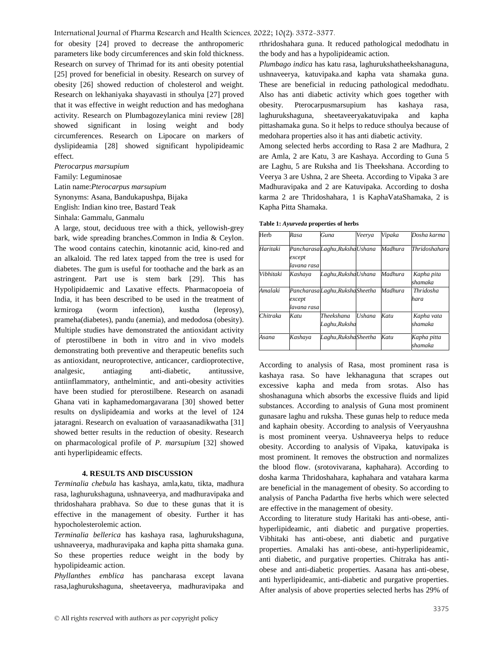International Journal of Pharma Research and Health Sciences, 2022; 10(2): 3372-3377.

for obesity [24] proved to decrease the anthropomeric parameters like body circumferences and skin fold thickness. Research on survey of Thrimad for its anti obesity potential [25] proved for beneficial in obesity. Research on survey of obesity [26] showed reduction of cholesterol and weight. Research on lekhaniyaka shayavasti in sthoulya [27] proved that it was effective in weight reduction and has medoghana activity. Research on Plumbagozeylanica mini review [28] showed significant in losing weight and body circumferences. Research on Lipocare on markers of dyslipideamia [28] showed significant hypolipideamic effect.

#### *Pterocarpus marsupium*

#### Family: Leguminosae

Latin name:*Pterocarpus marsupium*

Synonyms: Asana, Bandukapushpa, Bijaka

English: Indian kino tree, Bastard Teak

#### Sinhala: Gammalu, Ganmalu

A large, stout, deciduous tree with a thick, yellowish-grey bark, wide spreading branches.Common in India & Ceylon. The wood contains catechin, kinotannic acid, kino-red and an alkaloid. The red latex tapped from the tree is used for diabetes. The gum is useful for toothache and the bark as an astringent. Part use is stem bark [29]. This has Hypolipidaemic and Laxative effects. Pharmacopoeia of India, it has been described to be used in the treatment of krmiroga (worm infection), kustha (leprosy), prameha(diabetes), pandu (anemia), and medodosa (obesity). Multiple studies have demonstrated the antioxidant activity of pterostilbene in both in vitro and in vivo models demonstrating both preventive and therapeutic benefits such as antioxidant, neuroprotective, anticancer, cardioprotective, analgesic, antiaging anti-diabetic, antitussive, antiinflammatory, anthelmintic, and anti-obesity activities have been studied for pterostilbene. Research on asanadi Ghana vati in kaphamedomargavarana [30] showed better results on dyslipideamia and works at the level of 124 jataragni. Research on evaluation of varaasanadikwatha [31] showed better results in the reduction of obesity. Research on pharmacological profile of *P. marsupium* [32] showed anti hyperlipideamic effects.

#### **4. RESULTS AND DISCUSSION**

*Terminalia chebula* has kashaya, amla,katu, tikta, madhura rasa, laghurukshaguna, ushnaveerya, and madhuravipaka and thridoshahara prabhava. So due to these gunas that it is effective in the management of obesity. Further it has hypocholesterolemic action.

*Terminalia bellerica* has kashaya rasa, laghurukshaguna, ushnaveerya, madhuravipaka and kapha pitta shamaka guna. So these properties reduce weight in the body by hypolipideamic action.

*Phyllanthes emblica* has pancharasa except lavana rasa,laghurukshaguna, sheetaveerya, madhuravipaka and rthridoshahara guna. It reduced pathological medodhatu in the body and has a hypolipideamic action.

*Plumbago indica* has katu rasa, laghurukshatheekshanaguna, ushnaveerya, katuvipaka.and kapha vata shamaka guna. These are beneficial in reducing pathological medodhatu. Also has anti diabetic activity which goes together with Pterocarpusmarsupium has kashaya rasa, laghurukshaguna, sheetaveeryakatuvipaka and kapha pittashamaka guna. So it helps to reduce sthoulya because of medohara properties also it has anti diabetic activity.

Among selected herbs according to Rasa 2 are Madhura, 2 are Amla, 2 are Katu, 3 are Kashaya. According to Guna 5 are Laghu, 5 are Ruksha and 1is Theekshana. According to Veerya 3 are Ushna, 2 are Sheeta. According to Vipaka 3 are Madhuravipaka and 2 are Katuvipaka. According to dosha karma 2 are Thridoshahara, 1 is KaphaVataShamaka, 2 is Kapha Pitta Shamaka.

**Table 1:** *Ayurveda* **properties of herbs**

| Herb      | Rasa                  | Guna                             | Veerva        | Vipaka  | Dosha karma              |
|-----------|-----------------------|----------------------------------|---------------|---------|--------------------------|
| Haritaki  | except<br>lavana rasa | Pancharasa Laghu, Ruksha Ushana  |               | Madhura | Thridoshahara            |
| Vibhitaki | Kashaya               | Laghu, Ruksha Ushana             |               | Madhura | Kapha pita<br>shamaka    |
| Amalaki   | except<br>lavana rasa | Pancharasa Laghu, Ruksha Sheetha |               | Madhura | <b>Thridosha</b><br>hara |
| Chitraka  | Katu                  | Theekshana<br>Laghu,Ruksha       | <b>Ushana</b> | Katu    | Kapha vata<br>shamaka    |
| Asana     | Kashava               | Laghu, Ruksha Sheetha            |               | Katu    | Kapha pitta<br>shamaka   |

According to analysis of Rasa, most prominent rasa is kashaya rasa. So have lekhanaguna that scrapes out excessive kapha and meda from srotas. Also has shoshanaguna which absorbs the excessive fluids and lipid substances. According to analysis of Guna most prominent gunasare laghu and ruksha. These gunas help to reduce meda and kaphain obesity. According to analysis of Veeryaushna is most prominent veerya. Ushnaveerya helps to reduce obesity. According to analysis of Vipaka, katuvipaka is most prominent. It removes the obstruction and normalizes the blood flow. (srotovivarana, kaphahara). According to dosha karma Thridoshahara, kaphahara and vatahara karma are beneficial in the management of obesity. So according to analysis of Pancha Padartha five herbs which were selected are effective in the management of obesity.

According to literature study Haritaki has anti-obese, anti hyperlipideamic, anti diabetic and purgative properties. Vibhitaki has anti-obese, anti diabetic and purgative properties. Amalaki has anti-obese, anti-hyperlipideamic, anti diabetic, and purgative properties. Chitraka has anti obese and anti-diabetic properties. Aasana has anti-obese, anti hyperlipideamic, anti-diabetic and purgative properties. After analysis of above properties selected herbs has 29% of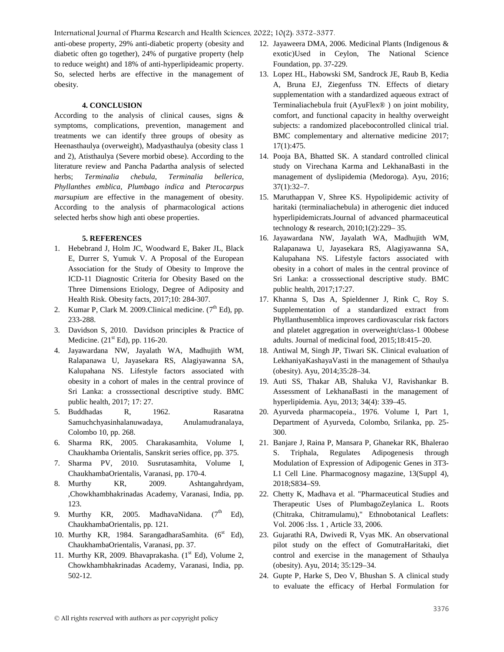International Journal of Pharma Research and Health Sciences, 2022; 10(2): 3372-3377.

anti-obese property, 29% anti-diabetic property (obesity and diabetic often go together), 24% of purgative property (help to reduce weight) and 18% of anti-hyperlipideamic property. So, selected herbs are effective in the management of obesity.

# **4. CONCLUSION**

According to the analysis of clinical causes, signs & symptoms, complications, prevention, management and treatments we can identify three groups of obesity as Heenasthaulya (overweight), Madyasthaulya (obesity class 1 and 2), Atisthaulya (Severe morbid obese). According to the literature review and Pancha Padartha analysis of selected herbs; *Terminalia chebula*, *Terminalia bellerica*, *Phyllanthes emblica*, *Plumbago indica* and *Pterocarpus marsupium* are effective in the management of obesity. According to the analysis of pharmacological actions selected herbs show high anti obese properties.

# **5. REFERENCES**

- 1. Hebebrand J, Holm JC, Woodward E, Baker JL, Black E, Durrer S, Yumuk V. A Proposal of the European Association for the Study of Obesity to Improve the ICD-11 Diagnostic Criteria for Obesity Based on the Three Dimensions Etiology, Degree of Adiposity and Health Risk. Obesity facts, 2017;10: 284-307.
- 2. Kumar P, Clark M. 2009. Clinical medicine.  $(7<sup>th</sup> Ed)$ , pp. 233-288.
- 3. Davidson S, 2010. Davidson principles & Practice of Medicine.  $(21<sup>st</sup> Ed)$ , pp. 116-20.
- 4. Jayawardana NW, Jayalath WA, Madhujith WM, Ralapanawa U, Jayasekara RS, Alagiyawanna SA, Kalupahana NS. Lifestyle factors associated with obesity in a cohort of males in the central province of Sri Lanka: a crosssectional descriptive study. BMC public health, 2017; 17: 27.
- 5. Buddhadas R, 1962. Rasaratna Samuchchyasinhalanuwadaya, Anulamudranalaya, Colombo 10, pp. 268.
- 6. Sharma RK, 2005. Charakasamhita, Volume I, Chaukhamba Orientalis, Sanskrit series office, pp. 375.
- 7. Sharma PV, 2010. Susrutasamhita, Volume I, ChaukhambaOrientalis, Varanasi, pp. 170-4.
- 8. Murthy KR, 2009. Ashtangahrdyam, ,Chowkhambhakrinadas Academy, Varanasi, India, pp. 123.
- 9. Murthy KR, 2005. MadhavaNidana.  $(7<sup>th</sup> Ed)$ , ChaukhambaOrientalis, pp. 121.
- 10. Murthy KR, 1984. SarangadharaSamhita.  $(6^{st}$  Ed), ChaukhambaOrientalis, Varanasi, pp. 37.
- 11. Murthy KR, 2009. Bhavaprakasha.  $(1<sup>st</sup> Ed)$ , Volume 2, Chowkhambhakrinadas Academy, Varanasi, India, pp. 502-12.
- 12. Jayaweera DMA, 2006. Medicinal Plants (Indigenous & exotic)Used in Ceylon, The National Science Foundation, pp. 37-229.
- 13. Lopez HL, Habowski SM, Sandrock JE, Raub B, Kedia A, Bruna EJ, Ziegenfuss TN. Effects of dietary supplementation with a standardized aqueous extract of Terminaliachebula fruit (AyuFlex® ) on joint mobility, comfort, and functional capacity in healthy overweight subjects: a randomized placebocontrolled clinical trial. BMC complementary and alternative medicine 2017; 17(1):475.
- 14. Pooja BA, Bhatted SK. A standard controlled clinical study on Virechana Karma and LekhanaBasti in the management of dyslipidemia (Medoroga). Ayu, 2016; 37(1):32–7.
- 15. Maruthappan V, Shree KS. Hypolipidemic activity of haritaki (terminaliachebula) in atherogenic diet induced hyperlipidemicrats.Journal of advanced pharmaceutical technology & research, 2010;1(2):229– 35.
- 16. Jayawardana NW, Jayalath WA, Madhujith WM, Ralapanawa U, Jayasekara RS, Alagiyawanna SA, Kalupahana NS. Lifestyle factors associated with obesity in a cohort of males in the central province of Sri Lanka: a crosssectional descriptive study. BMC public health, 2017;17:27.
- 17. Khanna S, Das A, Spieldenner J, Rink C, Roy S. Supplementation of a standardized extract from Phyllanthusemblica improves cardiovascular risk factors and platelet aggregation in overweight/class-1 00obese adults. Journal of medicinal food, 2015;18:415–20.
- 18. Antiwal M, Singh JP, Tiwari SK. Clinical evaluation of LekhaniyaKashayaVasti in the management of Sthaulya (obesity). Ayu, 2014;35:28–34.
- 19. Auti SS, Thakar AB, Shaluka VJ, Ravishankar B. Assessment of LekhanaBasti in the management of hyperlipidemia. Ayu, 2013; 34(4): 339–45.
- 20. Ayurveda pharmacopeia., 1976. Volume I, Part 1, Department of Ayurveda, Colombo, Srilanka, pp. 25- 300.
- 21. Banjare J, Raina P, Mansara P, Ghanekar RK, Bhalerao S. Triphala, Regulates Adipogenesis through Modulation of Expression of Adipogenic Genes in 3T3- L1 Cell Line. Pharmacognosy magazine, 13(Suppl 4), 2018;S834–S9.
- 22. Chetty K, Madhava et al. "Pharmaceutical Studies and Therapeutic Uses of PlumbagoZeylanica L. Roots (Chitraka, Chitramulamu)," Ethnobotanical Leaflets: Vol. 2006 :Iss. 1 , Article 33, 2006.
- 23. Gujarathi RA, Dwivedi R, Vyas MK. An observational pilot study on the effect of GomutraHaritaki, diet control and exercise in the management of Sthaulya (obesity). Ayu, 2014; 35:129–34.
- 24. Gupte P, Harke S, Deo V, Bhushan S. A clinical study to evaluate the efficacy of Herbal Formulation for